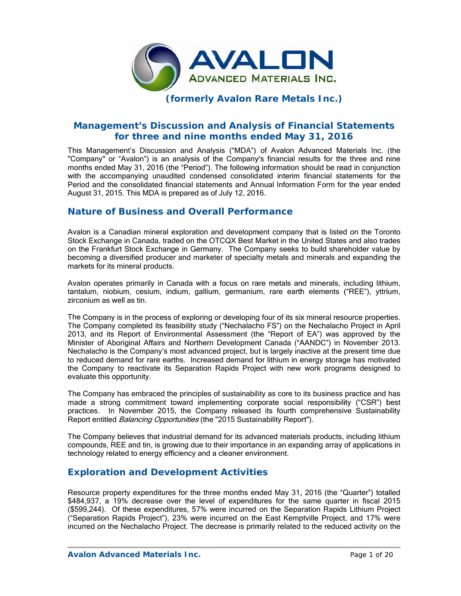

## **(f formerly Avalon R Rare Meta als Inc.)**

# **Management's Discussion and Analysis of Financial Statements** for three and nine months ended May 31, 2016

This Management's Discussion and Analysis ("MDA") of Avalon Advanced Materials Inc. (the "Company" or "Avalon") is an analysis of the Company's financial results for the three and nine months ended May 31, 2016 (the "Period"). The following information should be read in conjunction with the accompanying unaudited condensed consolidated interim financial statements for the Period and the consolidated financial statements and Annual Information Form for the year ended August 31, 2015. This MDA is prepared as of July 12, 2016.

### **Nature of Business and Overall Performance**

Avalon is a Canadian mineral exploration and development company that is listed on the Toronto Stock Exchange in Canada, traded on the OTCQX Best Market in the United States and also trades on the Frankfurt Stock Exchange in Germany. The Company seeks to build shareholder value by becoming a diversified producer and marketer of specialty metals and minerals and expanding the markets for its mineral products.

Avalon operates primarily in Canada with a focus on rare metals and minerals, including lithium, tantalum, niobium, cesium, indium, gallium, germanium, rare earth elements ("REE"), yttrium, zircon nium as well a as tin.

The Company is in the process of exploring or developing four of its six mineral resource properties. The Company completed its feasibility study ("Nechalacho FS") on the Nechalacho Project in April 2013, and its Report of Environmental Assessment (the "Report of EA") was approved by the Minister of Aboriginal Affairs and Northern Development Canada ("AANDC") in November 2013. Nechalacho is the Company's most advanced project, but is largely inactive at the present time due to reduced demand for rare earths. Increased demand for lithium in energy storage has motivated the Company to reactivate its Separation Rapids Project with new work programs designed to evaluate this opportunity.

The Company has embraced the principles of sustainability as core to its business practice and has made a strong commitment toward implementing corporate social responsibility ("CSR") best practices. In November 2015, the Company released its fourth comprehensive Sustainability Report entitled *Balancing Opportunities* (the "2015 Sustainability Report").

The Company believes that industrial demand for its advanced materials products, including lithium compounds, REE and tin, is growing due to their importance in an expanding array of applications in technology related to energy efficiency and a cleaner environment.

### **Exploration and Development Activities**

Resource property expenditures for the three months ended May 31, 2016 (the "Quarter") totalled \$484,937, a 19% decrease over the level of expenditures for the same quarter in fiscal 2015 (\$599,244). Of these expenditures, 57% were incurred on the Separation Rapids Lithium Project ("Separation Rapids Project"), 23% were incurred on the East Kemptville Project, and 17% were incurred on the Nechalacho Project. The decrease is primarily related to the reduced activity on the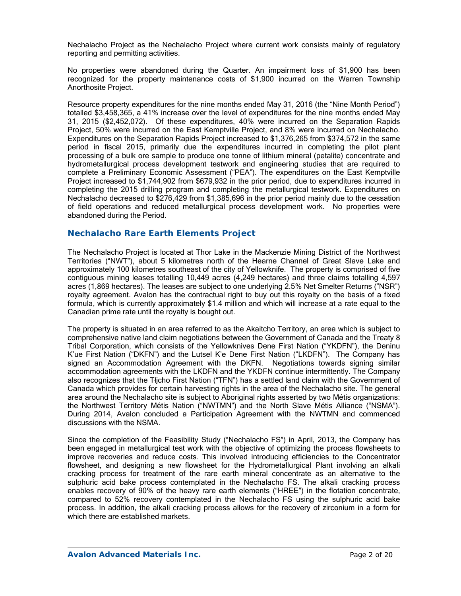Nechalacho Project as the Nechalacho Project where current work consists mainly of regulatory reporting and permitting activities.

No properties were abandoned during the Quarter. An impairment loss of \$1,900 has been recognized for the property maintenance costs of \$1,900 incurred on the Warren Township Anorthosite Project.

Resource property expenditures for the nine months ended May 31, 2016 (the "Nine Month Period") totalled \$3,458,365, a 41% increase over the level of expenditures for the nine months ended May 31, 2015 (\$2,452,072). Of these expenditures, 40% were incurred on the Separation Rapids Project, 50% were incurred on the East Kemptville Project, and 8% were incurred on Nechalacho. Expenditures on the Separation Rapids Project increased to \$1,376,265 from \$374,572 in the same period in fiscal 2015, primarily due the expenditures incurred in completing the pilot plant processing of a bulk ore sample to produce one tonne of lithium mineral (petalite) concentrate and hydrometallurgical process development testwork and engineering studies that are required to complete a Preliminary Economic Assessment ("PEA"). The expenditures on the East Kemptville Project increased to \$1,744,902 from \$679,932 in the prior period, due to expenditures incurred in completing the 2015 drilling program and completing the metallurgical testwork. Expenditures on Nechalacho decreased to \$276,429 from \$1,385,696 in the prior period mainly due to the cessation of field operations and reduced metallurgical process development work. No properties were abandoned during the Period.

### **Nechalacho Rare Earth Elements Project**

The Nechalacho Project is located at Thor Lake in the Mackenzie Mining District of the Northwest Territories ("NWT"), about 5 kilometres north of the Hearne Channel of Great Slave Lake and approximately 100 kilometres southeast of the city of Yellowknife. The property is comprised of five contiguous mining leases totalling 10,449 acres (4,249 hectares) and three claims totalling 4,597 acres (1,869 hectares). The leases are subject to one underlying 2.5% Net Smelter Returns ("NSR") royalty agreement. Avalon has the contractual right to buy out this royalty on the basis of a fixed formula, which is currently approximately \$1.4 million and which will increase at a rate equal to the Canadian prime rate until the royalty is bought out.

The property is situated in an area referred to as the Akaitcho Territory, an area which is subject to comprehensive native land claim negotiations between the Government of Canada and the Treaty 8 Tribal Corporation, which consists of the Yellowknives Dene First Nation ("YKDFN"), the Deninu K'ue First Nation ("DKFN") and the Lutsel K'e Dene First Nation ("LKDFN"). The Company has signed an Accommodation Agreement with the DKFN. Negotiations towards signing similar accommodation agreements with the LKDFN and the YKDFN continue intermittently. The Company also recognizes that the Tłįcho First Nation ("TFN") has a settled land claim with the Government of Canada which provides for certain harvesting rights in the area of the Nechalacho site. The general area around the Nechalacho site is subject to Aboriginal rights asserted by two Métis organizations: the Northwest Territory Métis Nation ("NWTMN") and the North Slave Métis Alliance ("NSMA"). During 2014, Avalon concluded a Participation Agreement with the NWTMN and commenced discussions with the NSMA.

Since the completion of the Feasibility Study ("Nechalacho FS") in April, 2013, the Company has been engaged in metallurgical test work with the objective of optimizing the process flowsheets to improve recoveries and reduce costs. This involved introducing efficiencies to the Concentrator flowsheet, and designing a new flowsheet for the Hydrometallurgical Plant involving an alkali cracking process for treatment of the rare earth mineral concentrate as an alternative to the sulphuric acid bake process contemplated in the Nechalacho FS. The alkali cracking process enables recovery of 90% of the heavy rare earth elements ("HREE") in the flotation concentrate, compared to 52% recovery contemplated in the Nechalacho FS using the sulphuric acid bake process. In addition, the alkali cracking process allows for the recovery of zirconium in a form for which there are established markets.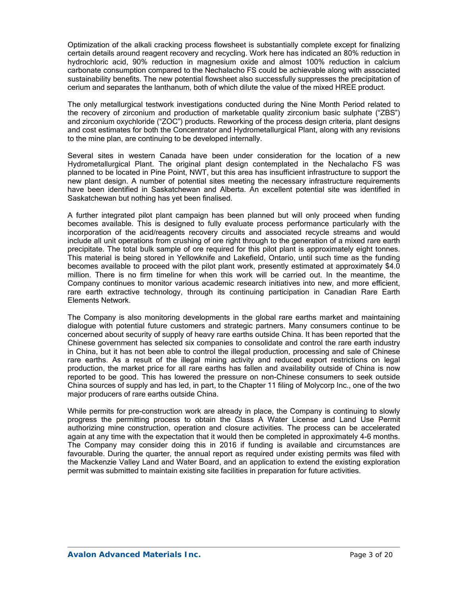Optimization of the alkali cracking process flowsheet is substantially complete except for finalizing certain details around reagent recovery and recycling. Work here has indicated an 80% reduction in hydrochloric acid, 90% reduction in magnesium oxide and almost 100% reduction in calcium carbonate consumption compared to the Nechalacho FS could be achievable along with associated sustainability benefits. The new potential flowsheet also successfully suppresses the precipitation of cerium and separates the lanthanum, both of which dilute the value of the mixed HREE product.

The only metallurgical testwork investigations conducted during the Nine Month Period related to the recovery of zirconium and production of marketable quality zirconium basic sulphate ("ZBS") and zirconium oxychloride ("ZOC") products. Reworking of the process design criteria, plant designs and cost estimates for both the Concentrator and Hydrometallurgical Plant, along with any revisions to the mine plan, are continuing to be developed internally.

Several sites in western Canada have been under consideration for the location of a new Hydrometallurgical Plant. The original plant design contemplated in the Nechalacho FS was planned to be located in Pine Point, NWT, but this area has insufficient infrastructure to support the new plant design. A number of potential sites meeting the necessary infrastructure requirements have been identified in Saskatchewan and Alberta. An excellent potential site was identified in Saskatchewan but nothing has yet been finalised.

A further integrated pilot plant campaign has been planned but will only proceed when funding becomes available. This is designed to fully evaluate process performance particularly with the incorporation of the acid/reagents recovery circuits and associated recycle streams and would include all unit operations from crushing of ore right through to the generation of a mixed rare earth precipitate. The total bulk sample of ore required for this pilot plant is approximately eight tonnes. This material is being stored in Yellowknife and Lakefield, Ontario, until such time as the funding becomes available to proceed with the pilot plant work, presently estimated at approximately \$4.0 million. There is no firm timeline for when this work will be carried out. In the meantime, the Company continues to monitor various academic research initiatives into new, and more efficient, rare earth extractive technology, through its continuing participation in Canadian Rare Earth Elements Network.

The Company is also monitoring developments in the global rare earths market and maintaining dialogue with potential future customers and strategic partners. Many consumers continue to be concerned about security of supply of heavy rare earths outside China. It has been reported that the Chinese government has selected six companies to consolidate and control the rare earth industry in China, but it has not been able to control the illegal production, processing and sale of Chinese rare earths. As a result of the illegal mining activity and reduced export restrictions on legal production, the market price for all rare earths has fallen and availability outside of China is now reported to be good. This has lowered the pressure on non-Chinese consumers to seek outside China sources of supply and has led, in part, to the Chapter 11 filing of Molycorp Inc., one of the two major producers of rare earths outside China.

While permits for pre-construction work are already in place, the Company is continuing to slowly progress the permitting process to obtain the Class A Water License and Land Use Permit authorizing mine construction, operation and closure activities. The process can be accelerated again at any time with the expectation that it would then be completed in approximately 4-6 months. The Company may consider doing this in 2016 if funding is available and circumstances are favourable. During the quarter, the annual report as required under existing permits was filed with the Mackenzie Valley Land and Water Board, and an application to extend the existing exploration permit was submitted to maintain existing site facilities in preparation for future activities.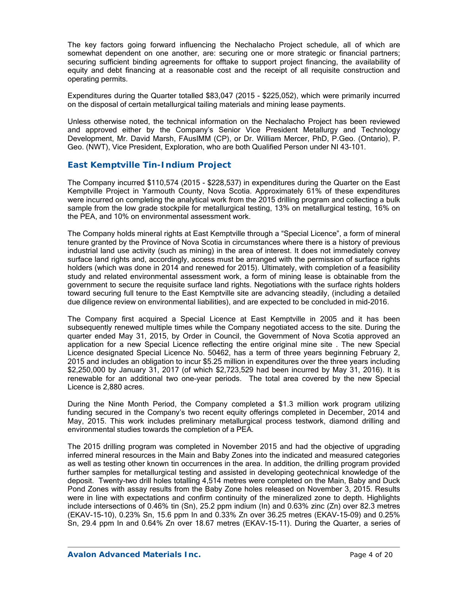The key factors going forward influencing the Nechalacho Project schedule, all of which are somewhat dependent on one another, are: securing one or more strategic or financial partners; securing sufficient binding agreements for offtake to support project financing, the availability of equity and debt financing at a reasonable cost and the receipt of all requisite construction and operating permits.

Expenditures during the Quarter totalled \$83,047 (2015 - \$225,052), which were primarily incurred on the disposal of certain metallurgical tailing materials and mining lease payments.

Unless otherwise noted, the technical information on the Nechalacho Project has been reviewed and approved either by the Company's Senior Vice President Metallurgy and Technology Development, Mr. David Marsh, FAusIMM (CP), or Dr. William Mercer, PhD, P.Geo. (Ontario), P. Geo. (NWT), Vice President, Exploration, who are both Qualified Person under NI 43-101.

### *East Kemptville Tin-Indium Project*

The Company incurred \$110,574 (2015 - \$228,537) in expenditures during the Quarter on the East Kemptville Project in Yarmouth County, Nova Scotia. Approximately 61% of these expenditures were incurred on completing the analytical work from the 2015 drilling program and collecting a bulk sample from the low grade stockpile for metallurgical testing, 13% on metallurgical testing, 16% on the PEA, and 10% on environmental assessment work.

The Company holds mineral rights at East Kemptville through a "Special Licence", a form of mineral tenure granted by the Province of Nova Scotia in circumstances where there is a history of previous industrial land use activity (such as mining) in the area of interest. It does not immediately convey surface land rights and, accordingly, access must be arranged with the permission of surface rights holders (which was done in 2014 and renewed for 2015). Ultimately, with completion of a feasibility study and related environmental assessment work, a form of mining lease is obtainable from the government to secure the requisite surface land rights. Negotiations with the surface rights holders toward securing full tenure to the East Kemptville site are advancing steadily, (including a detailed due diligence review on environmental liabilities), and are expected to be concluded in mid-2016.

The Company first acquired a Special Licence at East Kemptville in 2005 and it has been subsequently renewed multiple times while the Company negotiated access to the site. During the quarter ended May 31, 2015, by Order in Council, the Government of Nova Scotia approved an application for a new Special Licence reflecting the entire original mine site . The new Special Licence designated Special Licence No. 50462, has a term of three years beginning February 2, 2015 and includes an obligation to incur \$5.25 million in expenditures over the three years including \$2,250,000 by January 31, 2017 (of which \$2,723,529 had been incurred by May 31, 2016). It is renewable for an additional two one-year periods. The total area covered by the new Special Licence is 2,880 acres.

During the Nine Month Period, the Company completed a \$1.3 million work program utilizing funding secured in the Company's two recent equity offerings completed in December, 2014 and May, 2015. This work includes preliminary metallurgical process testwork, diamond drilling and environmental studies towards the completion of a PEA.

The 2015 drilling program was completed in November 2015 and had the objective of upgrading inferred mineral resources in the Main and Baby Zones into the indicated and measured categories as well as testing other known tin occurrences in the area. In addition, the drilling program provided further samples for metallurgical testing and assisted in developing geotechnical knowledge of the deposit. Twenty-two drill holes totalling 4,514 metres were completed on the Main, Baby and Duck Pond Zones with assay results from the Baby Zone holes released on November 3, 2015. Results were in line with expectations and confirm continuity of the mineralized zone to depth. Highlights include intersections of 0.46% tin (Sn), 25.2 ppm indium (In) and 0.63% zinc (Zn) over 82.3 metres (EKAV-15-10), 0.23% Sn, 15.6 ppm In and 0.33% Zn over 36.25 metres (EKAV-15-09) and 0.25% Sn, 29.4 ppm In and 0.64% Zn over 18.67 metres (EKAV-15-11). During the Quarter, a series of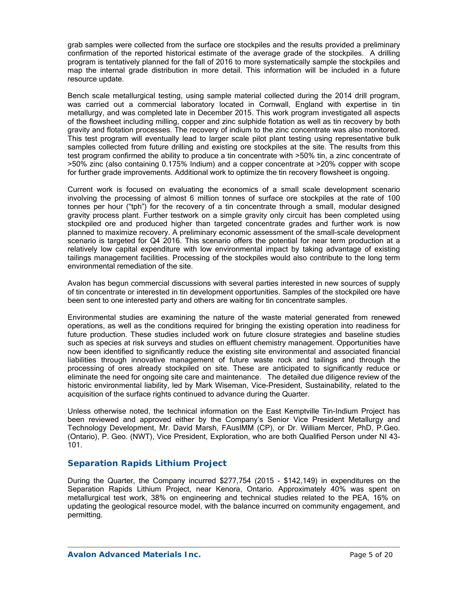grab samples were collected from the surface ore stockpiles and the results provided a preliminary confirmation of the reported historical estimate of the average grade of the stockpiles. A drilling program is tentatively planned for the fall of 2016 to more systematically sample the stockpiles and map the internal grade distribution in more detail. This information will be included in a future resource update.

Bench scale metallurgical testing, using sample material collected during the 2014 drill program, was carried out a commercial laboratory located in Cornwall, England with expertise in tin metallurgy, and was completed late in December 2015. This work program investigated all aspects of the flowsheet including milling, copper and zinc sulphide flotation as well as tin recovery by both gravity and flotation processes. The recovery of indium to the zinc concentrate was also monitored. This test program will eventually lead to larger scale pilot plant testing using representative bulk samples collected from future drilling and existing ore stockpiles at the site. The results from this test program confirmed the ability to produce a tin concentrate with >50% tin, a zinc concentrate of >50% zinc (also containing 0.175% Indium) and a copper concentrate at >20% copper with scope for further grade improvements. Additional work to optimize the tin recovery flowsheet is ongoing.

Current work is focused on evaluating the economics of a small scale development scenario involving the processing of almost 6 million tonnes of surface ore stockpiles at the rate of 100 tonnes per hour ("tph") for the recovery of a tin concentrate through a small, modular designed gravity process plant. Further testwork on a simple gravity only circuit has been completed using stockpiled ore and produced higher than targeted concentrate grades and further work is now planned to maximize recovery. A preliminary economic assessment of the small-scale development scenario is targeted for Q4 2016. This scenario offers the potential for near term production at a relatively low capital expenditure with low environmental impact by taking advantage of existing tailings management facilities. Processing of the stockpiles would also contribute to the long term environmental remediation of the site.

Avalon has begun commercial discussions with several parties interested in new sources of supply of tin concentrate or interested in tin development opportunities. Samples of the stockpiled ore have been sent to one interested party and others are waiting for tin concentrate samples.

Environmental studies are examining the nature of the waste material generated from renewed operations, as well as the conditions required for bringing the existing operation into readiness for future production. These studies included work on future closure strategies and baseline studies such as species at risk surveys and studies on effluent chemistry management. Opportunities have now been identified to significantly reduce the existing site environmental and associated financial liabilities through innovative management of future waste rock and tailings and through the processing of ores already stockpiled on site. These are anticipated to significantly reduce or eliminate the need for ongoing site care and maintenance. The detailed due diligence review of the historic environmental liability, led by Mark Wiseman, Vice-President, Sustainability, related to the acquisition of the surface rights continued to advance during the Quarter.

Unless otherwise noted, the technical information on the East Kemptville Tin-Indium Project has been reviewed and approved either by the Company's Senior Vice President Metallurgy and Technology Development, Mr. David Marsh, FAusIMM (CP), or Dr. William Mercer, PhD, P.Geo. (Ontario), P. Geo. (NWT), Vice President, Exploration, who are both Qualified Person under NI 43- 101.

### *Separation Rapids Lithium Project*

During the Quarter, the Company incurred \$277,754 (2015 - \$142,149) in expenditures on the Separation Rapids Lithium Project, near Kenora, Ontario. Approximately 40% was spent on metallurgical test work, 38% on engineering and technical studies related to the PEA, 16% on updating the geological resource model, with the balance incurred on community engagement, and permitting.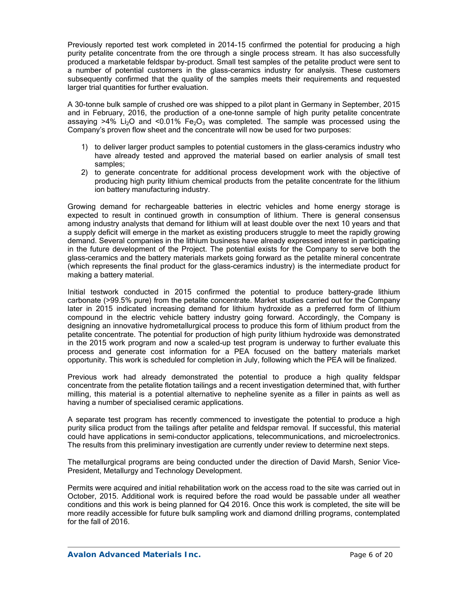Previously reported test work completed in 2014-15 confirmed the potential for producing a high purity petalite concentrate from the ore through a single process stream. It has also successfully produced a marketable feldspar by-product. Small test samples of the petalite product were sent to a number of potential customers in the glass-ceramics industry for analysis. These customers subsequently confirmed that the quality of the samples meets their requirements and requested larger trial quantities for further evaluation.

A 30-tonne bulk sample of crushed ore was shipped to a pilot plant in Germany in September, 2015 and in February, 2016, the production of a one-tonne sample of high purity petalite concentrate assaying >4% Li<sub>2</sub>O and <0.01% Fe<sub>2</sub>O<sub>3</sub> was completed. The sample was processed using the Company's proven flow sheet and the concentrate will now be used for two purposes:

- 1) to deliver larger product samples to potential customers in the glass–ceramics industry who have already tested and approved the material based on earlier analysis of small test samples;
- 2) to generate concentrate for additional process development work with the objective of producing high purity lithium chemical products from the petalite concentrate for the lithium ion battery manufacturing industry.

Growing demand for rechargeable batteries in electric vehicles and home energy storage is expected to result in continued growth in consumption of lithium. There is general consensus among industry analysts that demand for lithium will at least double over the next 10 years and that a supply deficit will emerge in the market as existing producers struggle to meet the rapidly growing demand. Several companies in the lithium business have already expressed interest in participating in the future development of the Project. The potential exists for the Company to serve both the glass-ceramics and the battery materials markets going forward as the petalite mineral concentrate (which represents the final product for the glass-ceramics industry) is the intermediate product for making a battery material.

Initial testwork conducted in 2015 confirmed the potential to produce battery-grade lithium carbonate (>99.5% pure) from the petalite concentrate. Market studies carried out for the Company later in 2015 indicated increasing demand for lithium hydroxide as a preferred form of lithium compound in the electric vehicle battery industry going forward. Accordingly, the Company is designing an innovative hydrometallurgical process to produce this form of lithium product from the petalite concentrate. The potential for production of high purity lithium hydroxide was demonstrated in the 2015 work program and now a scaled-up test program is underway to further evaluate this process and generate cost information for a PEA focused on the battery materials market opportunity. This work is scheduled for completion in July, following which the PEA will be finalized.

Previous work had already demonstrated the potential to produce a high quality feldspar concentrate from the petalite flotation tailings and a recent investigation determined that, with further milling, this material is a potential alternative to nepheline syenite as a filler in paints as well as having a number of specialised ceramic applications.

A separate test program has recently commenced to investigate the potential to produce a high purity silica product from the tailings after petalite and feldspar removal. If successful, this material could have applications in semi-conductor applications, telecommunications, and microelectronics. The results from this preliminary investigation are currently under review to determine next steps.

The metallurgical programs are being conducted under the direction of David Marsh, Senior Vice-President, Metallurgy and Technology Development.

Permits were acquired and initial rehabilitation work on the access road to the site was carried out in October, 2015. Additional work is required before the road would be passable under all weather conditions and this work is being planned for Q4 2016. Once this work is completed, the site will be more readily accessible for future bulk sampling work and diamond drilling programs, contemplated for the fall of 2016.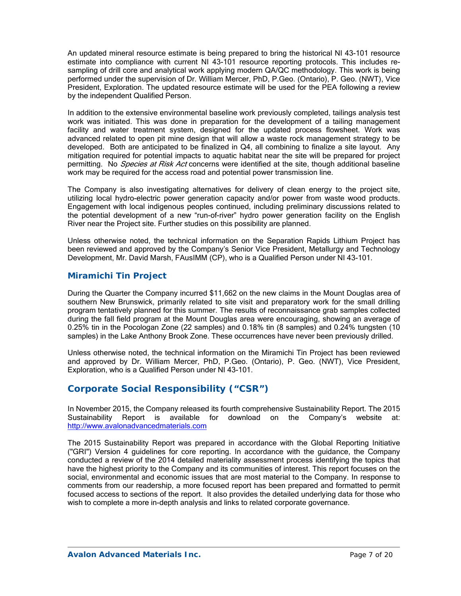An updated mineral resource estimate is being prepared to bring the historical NI 43-101 resource estimate into compliance with current NI 43-101 resource reporting protocols. This includes resampling of drill core and analytical work applying modern QA/QC methodology. This work is being performed under the supervision of Dr. William Mercer, PhD, P.Geo. (Ontario), P. Geo. (NWT), Vice President, Exploration. The updated resource estimate will be used for the PEA following a review by the independent Qualified Person.

In addition to the extensive environmental baseline work previously completed, tailings analysis test work was initiated. This was done in preparation for the development of a tailing management facility and water treatment system, designed for the updated process flowsheet. Work was advanced related to open pit mine design that will allow a waste rock management strategy to be developed. Both are anticipated to be finalized in Q4, all combining to finalize a site layout. Any mitigation required for potential impacts to aquatic habitat near the site will be prepared for project permitting. No *Species at Risk Act* concerns were identified at the site, though additional baseline work may be required for the access road and potential power transmission line.

The Company is also investigating alternatives for delivery of clean energy to the project site, utilizing local hydro-electric power generation capacity and/or power from waste wood products. Engagement with local indigenous peoples continued, including preliminary discussions related to the potential development of a new "run-of-river" hydro power generation facility on the English River near the Project site. Further studies on this possibility are planned.

Unless otherwise noted, the technical information on the Separation Rapids Lithium Project has been reviewed and approved by the Company's Senior Vice President, Metallurgy and Technology Development, Mr. David Marsh, FAusIMM (CP), who is a Qualified Person under NI 43-101.

### *Miramichi Tin Project*

During the Quarter the Company incurred \$11,662 on the new claims in the Mount Douglas area of southern New Brunswick, primarily related to site visit and preparatory work for the small drilling program tentatively planned for this summer. The results of reconnaissance grab samples collected during the fall field program at the Mount Douglas area were encouraging, showing an average of 0.25% tin in the Pocologan Zone (22 samples) and 0.18% tin (8 samples) and 0.24% tungsten (10 samples) in the Lake Anthony Brook Zone. These occurrences have never been previously drilled.

Unless otherwise noted, the technical information on the Miramichi Tin Project has been reviewed and approved by Dr. William Mercer, PhD, P.Geo. (Ontario), P. Geo. (NWT), Vice President, Exploration, who is a Qualified Person under NI 43-101.

# **Corporate Social Responsibility ("CSR")**

In November 2015, the Company released its fourth comprehensive Sustainability Report. The 2015 Sustainability Report is available for download on the Company's website at: http://www.avalonadvancedmaterials.com

The 2015 Sustainability Report was prepared in accordance with the Global Reporting Initiative ("GRI") Version 4 guidelines for core reporting. In accordance with the guidance, the Company conducted a review of the 2014 detailed materiality assessment process identifying the topics that have the highest priority to the Company and its communities of interest. This report focuses on the social, environmental and economic issues that are most material to the Company. In response to comments from our readership, a more focused report has been prepared and formatted to permit focused access to sections of the report. It also provides the detailed underlying data for those who wish to complete a more in-depth analysis and links to related corporate governance.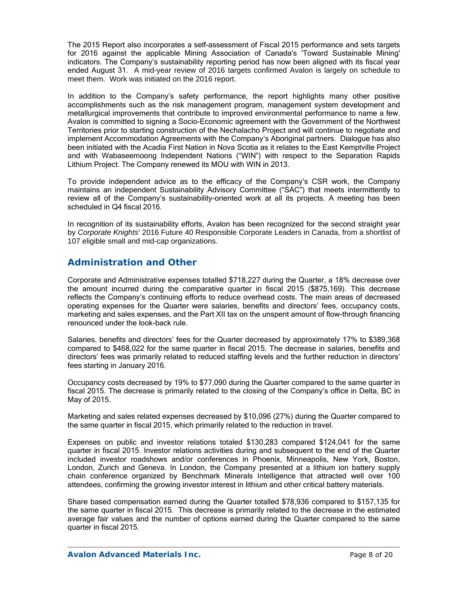The 2015 Report also incorporates a self-assessment of Fiscal 2015 performance and sets targets for 2016 against the applicable Mining Association of Canada's 'Toward Sustainable Mining' indicators. The Company's sustainability reporting period has now been aligned with its fiscal year ended August 31. A mid-year review of 2016 targets confirmed Avalon is largely on schedule to meet them. Work was initiated on the 2016 report.

In addition to the Company's safety performance, the report highlights many other positive accomplishments such as the risk management program, management system development and metallurgical improvements that contribute to improved environmental performance to name a few. Avalon is committed to signing a Socio-Economic agreement with the Government of the Northwest Territories prior to starting construction of the Nechalacho Project and will continue to negotiate and implement Accommodation Agreements with the Company's Aboriginal partners. Dialogue has also been initiated with the Acadia First Nation in Nova Scotia as it relates to the East Kemptville Project and with Wabaseemoong Independent Nations ("WIN") with respect to the Separation Rapids Lithium Project. The Company renewed its MOU with WIN in 2013.

To provide independent advice as to the efficacy of the Company's CSR work, the Company maintains an independent Sustainability Advisory Committee ("SAC") that meets intermittently to review all of the Company's sustainability-oriented work at all its projects. A meeting has been scheduled in Q4 fiscal 2016.

In recognition of its sustainability efforts, Avalon has been recognized for the second straight year by *Corporate Knights*' 2016 Future 40 Responsible Corporate Leaders in Canada, from a shortlist of 107 eligible small and mid-cap organizations.

## **Administration and Other**

Corporate and Administrative expenses totalled \$718,227 during the Quarter, a 18% decrease over the amount incurred during the comparative quarter in fiscal 2015 (\$875,169). This decrease reflects the Company's continuing efforts to reduce overhead costs. The main areas of decreased operating expenses for the Quarter were salaries, benefits and directors' fees, occupancy costs, marketing and sales expenses, and the Part XII tax on the unspent amount of flow-through financing renounced under the look-back rule.

Salaries, benefits and directors' fees for the Quarter decreased by approximately 17% to \$389,368 compared to \$468,022 for the same quarter in fiscal 2015. The decrease in salaries, benefits and directors' fees was primarily related to reduced staffing levels and the further reduction in directors' fees starting in January 2016.

Occupancy costs decreased by 19% to \$77,090 during the Quarter compared to the same quarter in fiscal 2015. The decrease is primarily related to the closing of the Company's office in Delta, BC in May of 2015.

Marketing and sales related expenses decreased by \$10,096 (27%) during the Quarter compared to the same quarter in fiscal 2015, which primarily related to the reduction in travel.

Expenses on public and investor relations totaled \$130,283 compared \$124,041 for the same quarter in fiscal 2015. Investor relations activities during and subsequent to the end of the Quarter included investor roadshows and/or conferences in Phoenix, Minneapolis, New York, Boston, London, Zurich and Geneva. In London, the Company presented at a lithium ion battery supply chain conference organized by Benchmark Minerals Intelligence that attracted well over 100 attendees, confirming the growing investor interest in lithium and other critical battery materials.

Share based compensation earned during the Quarter totalled \$78,936 compared to \$157,135 for the same quarter in fiscal 2015. This decrease is primarily related to the decrease in the estimated average fair values and the number of options earned during the Quarter compared to the same quarter in fiscal 2015.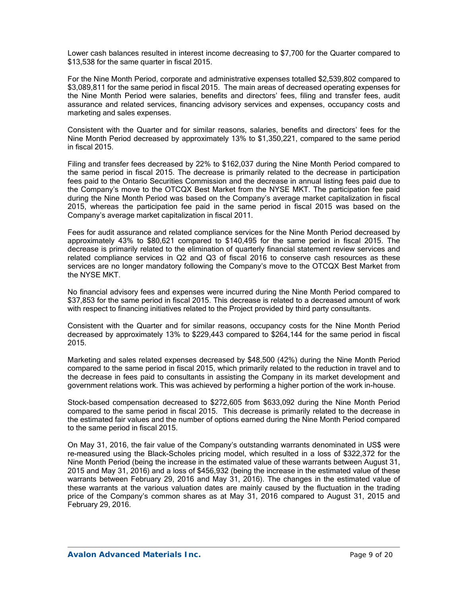Lower cash balances resulted in interest income decreasing to \$7,700 for the Quarter compared to \$13,538 for the same quarter in fiscal 2015.

For the Nine Month Period, corporate and administrative expenses totalled \$2,539,802 compared to \$3,089,811 for the same period in fiscal 2015. The main areas of decreased operating expenses for the Nine Month Period were salaries, benefits and directors' fees, filing and transfer fees, audit assurance and related services, financing advisory services and expenses, occupancy costs and marketing and sales expenses.

Consistent with the Quarter and for similar reasons, salaries, benefits and directors' fees for the Nine Month Period decreased by approximately 13% to \$1,350,221, compared to the same period in fiscal 2015.

Filing and transfer fees decreased by 22% to \$162,037 during the Nine Month Period compared to the same period in fiscal 2015. The decrease is primarily related to the decrease in participation fees paid to the Ontario Securities Commission and the decrease in annual listing fees paid due to the Company's move to the OTCQX Best Market from the NYSE MKT. The participation fee paid during the Nine Month Period was based on the Company's average market capitalization in fiscal 2015, whereas the participation fee paid in the same period in fiscal 2015 was based on the Company's average market capitalization in fiscal 2011.

Fees for audit assurance and related compliance services for the Nine Month Period decreased by approximately 43% to \$80,621 compared to \$140,495 for the same period in fiscal 2015. The decrease is primarily related to the elimination of quarterly financial statement review services and related compliance services in Q2 and Q3 of fiscal 2016 to conserve cash resources as these services are no longer mandatory following the Company's move to the OTCQX Best Market from the NYSE MKT.

No financial advisory fees and expenses were incurred during the Nine Month Period compared to \$37,853 for the same period in fiscal 2015. This decrease is related to a decreased amount of work with respect to financing initiatives related to the Project provided by third party consultants.

Consistent with the Quarter and for similar reasons, occupancy costs for the Nine Month Period decreased by approximately 13% to \$229,443 compared to \$264,144 for the same period in fiscal 2015.

Marketing and sales related expenses decreased by \$48,500 (42%) during the Nine Month Period compared to the same period in fiscal 2015, which primarily related to the reduction in travel and to the decrease in fees paid to consultants in assisting the Company in its market development and government relations work. This was achieved by performing a higher portion of the work in-house.

Stock-based compensation decreased to \$272,605 from \$633,092 during the Nine Month Period compared to the same period in fiscal 2015. This decrease is primarily related to the decrease in the estimated fair values and the number of options earned during the Nine Month Period compared to the same period in fiscal 2015.

On May 31, 2016, the fair value of the Company's outstanding warrants denominated in US\$ were re-measured using the Black-Scholes pricing model, which resulted in a loss of \$322,372 for the Nine Month Period (being the increase in the estimated value of these warrants between August 31, 2015 and May 31, 2016) and a loss of \$456,932 (being the increase in the estimated value of these warrants between February 29, 2016 and May 31, 2016). The changes in the estimated value of these warrants at the various valuation dates are mainly caused by the fluctuation in the trading price of the Company's common shares as at May 31, 2016 compared to August 31, 2015 and February 29, 2016.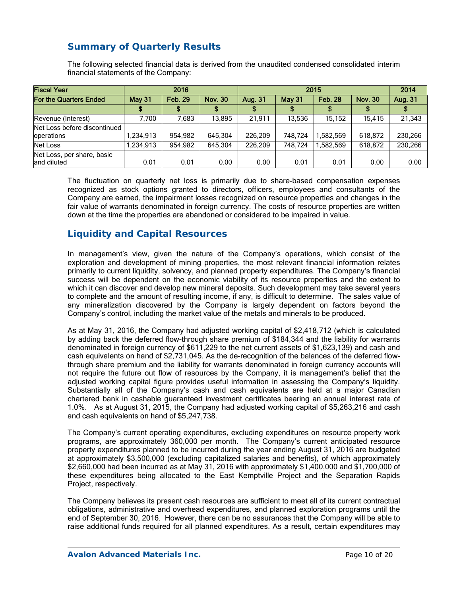# **Summary of Quarterly Results**

The following selected financial data is derived from the unaudited condensed consolidated interim financial statements of the Company:

| <b>Fiscal Year</b>                         |           | 2016                             |         |         | 2014          |                |                |         |
|--------------------------------------------|-----------|----------------------------------|---------|---------|---------------|----------------|----------------|---------|
| For the Quarters Ended                     | May 31    | <b>Feb. 29</b><br><b>Nov. 30</b> |         | Aug. 31 | <b>May 31</b> | <b>Feb. 28</b> | <b>Nov. 30</b> | Aug. 31 |
|                                            |           |                                  |         |         |               |                |                |         |
| Revenue (Interest)                         | 7.700     | 7.683                            | 13.895  | 21.911  | 13.536        | 15.152         | 15.415         | 21,343  |
| Net Loss before discontinued<br>operations | 1,234,913 | 954.982                          | 645.304 | 226.209 | 748.724       | ,582,569       | 618,872        | 230,266 |
| Net Loss                                   | 1,234,913 | 954.982                          | 645.304 | 226,209 | 748.724       | .582.569       | 618.872        | 230,266 |
| Net Loss, per share, basic<br>land diluted | 0.01      | 0.01                             | 0.00    | 0.00    | 0.01          | 0.01           | 0.00           | 0.00    |

The fluctuation on quarterly net loss is primarily due to share-based compensation expenses recognized as stock options granted to directors, officers, employees and consultants of the Company are earned, the impairment losses recognized on resource properties and changes in the fair value of warrants denominated in foreign currency. The costs of resource properties are written down at the time the properties are abandoned or considered to be impaired in value.

## **Liquidity and Capital Resources**

In management's view, given the nature of the Company's operations, which consist of the exploration and development of mining properties, the most relevant financial information relates primarily to current liquidity, solvency, and planned property expenditures. The Company's financial success will be dependent on the economic viability of its resource properties and the extent to which it can discover and develop new mineral deposits. Such development may take several years to complete and the amount of resulting income, if any, is difficult to determine. The sales value of any mineralization discovered by the Company is largely dependent on factors beyond the Company's control, including the market value of the metals and minerals to be produced.

As at May 31, 2016, the Company had adjusted working capital of \$2,418,712 (which is calculated by adding back the deferred flow-through share premium of \$184,344 and the liability for warrants denominated in foreign currency of \$611,229 to the net current assets of \$1,623,139) and cash and cash equivalents on hand of \$2,731,045. As the de-recognition of the balances of the deferred flowthrough share premium and the liability for warrants denominated in foreign currency accounts will not require the future out flow of resources by the Company, it is management's belief that the adjusted working capital figure provides useful information in assessing the Company's liquidity. Substantially all of the Company's cash and cash equivalents are held at a major Canadian chartered bank in cashable guaranteed investment certificates bearing an annual interest rate of 1.0%. As at August 31, 2015, the Company had adjusted working capital of \$5,263,216 and cash and cash equivalents on hand of \$5,247,738.

The Company's current operating expenditures, excluding expenditures on resource property work programs, are approximately 360,000 per month. The Company's current anticipated resource property expenditures planned to be incurred during the year ending August 31, 2016 are budgeted at approximately \$3,500,000 (excluding capitalized salaries and benefits), of which approximately \$2,660,000 had been incurred as at May 31, 2016 with approximately \$1,400,000 and \$1,700,000 of these expenditures being allocated to the East Kemptville Project and the Separation Rapids Project, respectively.

The Company believes its present cash resources are sufficient to meet all of its current contractual obligations, administrative and overhead expenditures, and planned exploration programs until the end of September 30, 2016. However, there can be no assurances that the Company will be able to raise additional funds required for all planned expenditures. As a result, certain expenditures may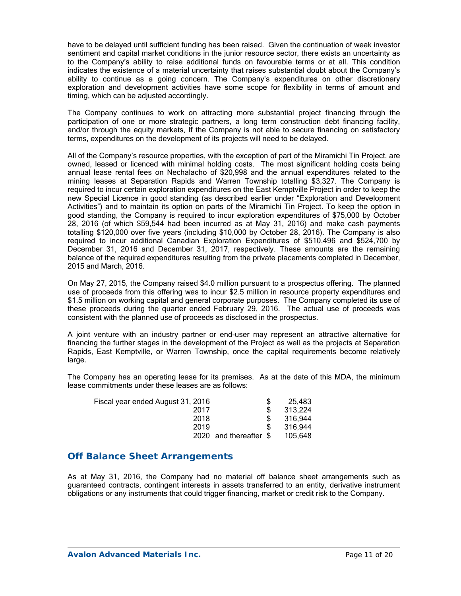have to be delayed until sufficient funding has been raised. Given the continuation of weak investor sentiment and capital market conditions in the junior resource sector, there exists an uncertainty as to the Company's ability to raise additional funds on favourable terms or at all. This condition indicates the existence of a material uncertainty that raises substantial doubt about the Company's ability to continue as a going concern. The Company's expenditures on other discretionary exploration and development activities have some scope for flexibility in terms of amount and timing, which can be adjusted accordingly.

The Company continues to work on attracting more substantial project financing through the participation of one or more strategic partners, a long term construction debt financing facility, and/or through the equity markets. If the Company is not able to secure financing on satisfactory terms, expenditures on the development of its projects will need to be delayed.

All of the Company's resource properties, with the exception of part of the Miramichi Tin Project, are owned, leased or licenced with minimal holding costs. The most significant holding costs being annual lease rental fees on Nechalacho of \$20,998 and the annual expenditures related to the mining leases at Separation Rapids and Warren Township totalling \$3,327. The Company is required to incur certain exploration expenditures on the East Kemptville Project in order to keep the new Special Licence in good standing (as described earlier under "Exploration and Development Activities") and to maintain its option on parts of the Miramichi Tin Project. To keep the option in good standing, the Company is required to incur exploration expenditures of \$75,000 by October 28, 2016 (of which \$59,544 had been incurred as at May 31, 2016) and make cash payments totalling \$120,000 over five years (including \$10,000 by October 28, 2016). The Company is also required to incur additional Canadian Exploration Expenditures of \$510,496 and \$524,700 by December 31, 2016 and December 31, 2017, respectively. These amounts are the remaining balance of the required expenditures resulting from the private placements completed in December, 2015 and March, 2016.

On May 27, 2015, the Company raised \$4.0 million pursuant to a prospectus offering. The planned use of proceeds from this offering was to incur \$2.5 million in resource property expenditures and \$1.5 million on working capital and general corporate purposes. The Company completed its use of these proceeds during the quarter ended February 29, 2016. The actual use of proceeds was consistent with the planned use of proceeds as disclosed in the prospectus.

A joint venture with an industry partner or end-user may represent an attractive alternative for financing the further stages in the development of the Project as well as the projects at Separation Rapids, East Kemptville, or Warren Township, once the capital requirements become relatively large.

The Company has an operating lease for its premises. As at the date of this MDA, the minimum lease commitments under these leases are as follows:

|                         | 25.483  |
|-------------------------|---------|
|                         | 313,224 |
|                         | 316.944 |
|                         | 316.944 |
| 2020 and thereafter $$$ | 105.648 |
|                         |         |

### **Off Balance Sheet Arrangements**

As at May 31, 2016, the Company had no material off balance sheet arrangements such as guaranteed contracts, contingent interests in assets transferred to an entity, derivative instrument obligations or any instruments that could trigger financing, market or credit risk to the Company.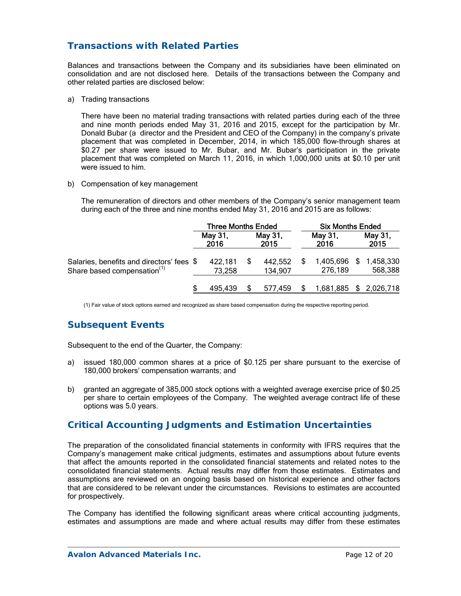# **Transactions with Related Parties**

Balances and transactions between the Company and its subsidiaries have been eliminated on consolidation and are not disclosed here. Details of the transactions between the Company and other related parties are disclosed below:

a) Trading transactions

There have been no material trading transactions with related parties during each of the three and nine month periods ended May 31, 2016 and 2015, except for the participation by Mr. Donald Bubar (a director and the President and CEO of the Company) in the company's private placement that was completed in December, 2014, in which 185,000 flow-through shares at \$0.27 per share were issued to Mr. Bubar, and Mr. Bubar's participation in the private placement that was completed on March 11, 2016, in which 1,000,000 units at \$0.10 per unit were issued to him.

b) Compensation of key management

The remuneration of directors and other members of the Company's senior management team during each of the three and nine months ended May 31, 2016 and 2015 are as follows:

|                                                                                      | <b>Three Months Ended</b> |  |                    | <b>Six Months Ended</b> |                      |  |                      |
|--------------------------------------------------------------------------------------|---------------------------|--|--------------------|-------------------------|----------------------|--|----------------------|
|                                                                                      | May 31,<br>2016           |  | May 31,<br>2015    |                         | May 31,<br>2016      |  | May 31,<br>2015      |
| Salaries, benefits and directors' fees \$<br>Share based compensation <sup>(1)</sup> | 422,181<br>73,258         |  | 442,552<br>134,907 |                         | 1,405,696<br>276,189 |  | 1,458,330<br>568,388 |
|                                                                                      | 495.439                   |  | 577.459            |                         | 1,681,885            |  | \$2,026,718          |

(1) Fair value of stock options earned and recognized as share based compensation during the respective reporting period.

# **Subsequent Events**

Subsequent to the end of the Quarter, the Company:

- a) issued 180,000 common shares at a price of \$0.125 per share pursuant to the exercise of 180,000 brokers' compensation warrants; and
- b) granted an aggregate of 385,000 stock options with a weighted average exercise price of \$0.25 per share to certain employees of the Company. The weighted average contract life of these options was 5.0 years.

### **Critical Accounting Judgments and Estimation Uncertainties**

The preparation of the consolidated financial statements in conformity with IFRS requires that the Company's management make critical judgments, estimates and assumptions about future events that affect the amounts reported in the consolidated financial statements and related notes to the consolidated financial statements. Actual results may differ from those estimates. Estimates and assumptions are reviewed on an ongoing basis based on historical experience and other factors that are considered to be relevant under the circumstances. Revisions to estimates are accounted for prospectively.

The Company has identified the following significant areas where critical accounting judgments, estimates and assumptions are made and where actual results may differ from these estimates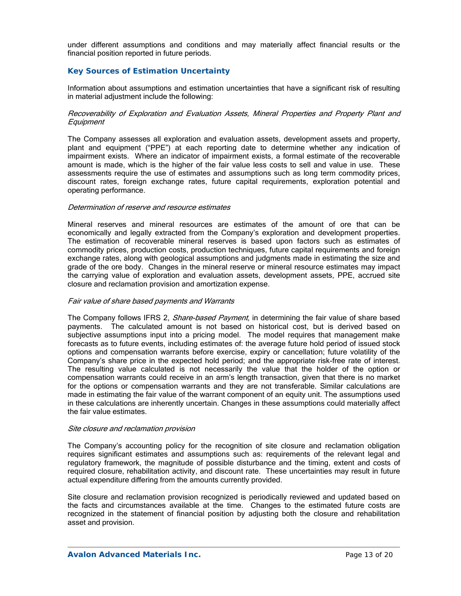under different assumptions and conditions and may materially affect financial results or the financial position reported in future periods.

### *Key Sources of Estimation Uncertainty*

Information about assumptions and estimation uncertainties that have a significant risk of resulting in material adjustment include the following:

#### Recoverability of Exploration and Evaluation Assets, Mineral Properties and Property Plant and **Equipment**

The Company assesses all exploration and evaluation assets, development assets and property, plant and equipment ("PPE") at each reporting date to determine whether any indication of impairment exists. Where an indicator of impairment exists, a formal estimate of the recoverable amount is made, which is the higher of the fair value less costs to sell and value in use. These assessments require the use of estimates and assumptions such as long term commodity prices, discount rates, foreign exchange rates, future capital requirements, exploration potential and operating performance.

#### Determination of reserve and resource estimates

Mineral reserves and mineral resources are estimates of the amount of ore that can be economically and legally extracted from the Company's exploration and development properties. The estimation of recoverable mineral reserves is based upon factors such as estimates of commodity prices, production costs, production techniques, future capital requirements and foreign exchange rates, along with geological assumptions and judgments made in estimating the size and grade of the ore body. Changes in the mineral reserve or mineral resource estimates may impact the carrying value of exploration and evaluation assets, development assets, PPE, accrued site closure and reclamation provision and amortization expense.

#### Fair value of share based payments and Warrants

The Company follows IFRS 2, *Share-based Payment*, in determining the fair value of share based payments. The calculated amount is not based on historical cost, but is derived based on subjective assumptions input into a pricing model. The model requires that management make forecasts as to future events, including estimates of: the average future hold period of issued stock options and compensation warrants before exercise, expiry or cancellation; future volatility of the Company's share price in the expected hold period; and the appropriate risk-free rate of interest. The resulting value calculated is not necessarily the value that the holder of the option or compensation warrants could receive in an arm's length transaction, given that there is no market for the options or compensation warrants and they are not transferable. Similar calculations are made in estimating the fair value of the warrant component of an equity unit. The assumptions used in these calculations are inherently uncertain. Changes in these assumptions could materially affect the fair value estimates.

#### Site closure and reclamation provision

The Company's accounting policy for the recognition of site closure and reclamation obligation requires significant estimates and assumptions such as: requirements of the relevant legal and regulatory framework, the magnitude of possible disturbance and the timing, extent and costs of required closure, rehabilitation activity, and discount rate. These uncertainties may result in future actual expenditure differing from the amounts currently provided.

Site closure and reclamation provision recognized is periodically reviewed and updated based on the facts and circumstances available at the time. Changes to the estimated future costs are recognized in the statement of financial position by adjusting both the closure and rehabilitation asset and provision.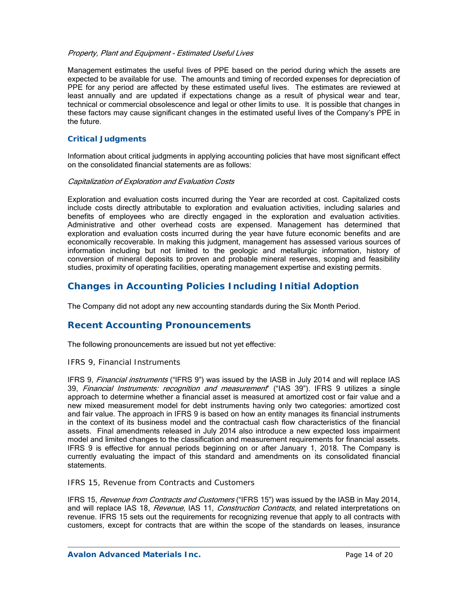#### Property, Plant and Equipment - Estimated Useful Lives

Management estimates the useful lives of PPE based on the period during which the assets are expected to be available for use. The amounts and timing of recorded expenses for depreciation of PPE for any period are affected by these estimated useful lives. The estimates are reviewed at least annually and are updated if expectations change as a result of physical wear and tear, technical or commercial obsolescence and legal or other limits to use. It is possible that changes in these factors may cause significant changes in the estimated useful lives of the Company's PPE in the future.

### *Critical Judgments*

Information about critical judgments in applying accounting policies that have most significant effect on the consolidated financial statements are as follows:

#### Capitalization of Exploration and Evaluation Costs

Exploration and evaluation costs incurred during the Year are recorded at cost. Capitalized costs include costs directly attributable to exploration and evaluation activities, including salaries and benefits of employees who are directly engaged in the exploration and evaluation activities. Administrative and other overhead costs are expensed. Management has determined that exploration and evaluation costs incurred during the year have future economic benefits and are economically recoverable. In making this judgment, management has assessed various sources of information including but not limited to the geologic and metallurgic information, history of conversion of mineral deposits to proven and probable mineral reserves, scoping and feasibility studies, proximity of operating facilities, operating management expertise and existing permits.

### **Changes in Accounting Policies Including Initial Adoption**

The Company did not adopt any new accounting standards during the Six Month Period.

### **Recent Accounting Pronouncements**

The following pronouncements are issued but not yet effective:

#### *IFRS 9, Financial Instruments*

IFRS 9, Financial instruments ("IFRS 9") was issued by the IASB in July 2014 and will replace IAS 39, Financial Instruments: recognition and measurement" ("IAS 39"). IFRS 9 utilizes a single approach to determine whether a financial asset is measured at amortized cost or fair value and a new mixed measurement model for debt instruments having only two categories: amortized cost and fair value. The approach in IFRS 9 is based on how an entity manages its financial instruments in the context of its business model and the contractual cash flow characteristics of the financial assets. Final amendments released in July 2014 also introduce a new expected loss impairment model and limited changes to the classification and measurement requirements for financial assets. IFRS 9 is effective for annual periods beginning on or after January 1, 2018. The Company is currently evaluating the impact of this standard and amendments on its consolidated financial statements.

#### *IFRS 15, Revenue from Contracts and Customers*

IFRS 15, Revenue from Contracts and Customers ("IFRS 15") was issued by the IASB in May 2014, and will replace IAS 18, Revenue, IAS 11, Construction Contracts, and related interpretations on revenue. IFRS 15 sets out the requirements for recognizing revenue that apply to all contracts with customers, except for contracts that are within the scope of the standards on leases, insurance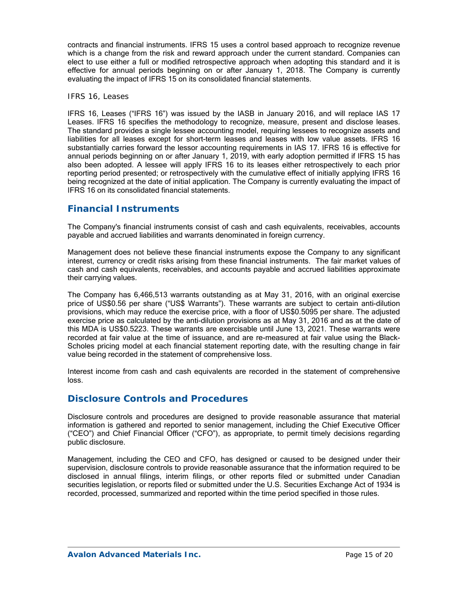contracts and financial instruments. IFRS 15 uses a control based approach to recognize revenue which is a change from the risk and reward approach under the current standard. Companies can elect to use either a full or modified retrospective approach when adopting this standard and it is effective for annual periods beginning on or after January 1, 2018. The Company is currently evaluating the impact of IFRS 15 on its consolidated financial statements.

#### *IFRS 16, Leases*

IFRS 16, Leases ("IFRS 16") was issued by the IASB in January 2016, and will replace IAS 17 Leases. IFRS 16 specifies the methodology to recognize, measure, present and disclose leases. The standard provides a single lessee accounting model, requiring lessees to recognize assets and liabilities for all leases except for short-term leases and leases with low value assets. IFRS 16 substantially carries forward the lessor accounting requirements in IAS 17. IFRS 16 is effective for annual periods beginning on or after January 1, 2019, with early adoption permitted if IFRS 15 has also been adopted. A lessee will apply IFRS 16 to its leases either retrospectively to each prior reporting period presented; or retrospectively with the cumulative effect of initially applying IFRS 16 being recognized at the date of initial application. The Company is currently evaluating the impact of IFRS 16 on its consolidated financial statements.

## **Financial Instruments**

The Company's financial instruments consist of cash and cash equivalents, receivables, accounts payable and accrued liabilities and warrants denominated in foreign currency.

Management does not believe these financial instruments expose the Company to any significant interest, currency or credit risks arising from these financial instruments. The fair market values of cash and cash equivalents, receivables, and accounts payable and accrued liabilities approximate their carrying values.

The Company has 6,466,513 warrants outstanding as at May 31, 2016, with an original exercise price of US\$0.56 per share ("US\$ Warrants"). These warrants are subject to certain anti-dilution provisions, which may reduce the exercise price, with a floor of US\$0.5095 per share. The adjusted exercise price as calculated by the anti-dilution provisions as at May 31, 2016 and as at the date of this MDA is US\$0.5223. These warrants are exercisable until June 13, 2021. These warrants were recorded at fair value at the time of issuance, and are re-measured at fair value using the Black-Scholes pricing model at each financial statement reporting date, with the resulting change in fair value being recorded in the statement of comprehensive loss.

Interest income from cash and cash equivalents are recorded in the statement of comprehensive loss.

### **Disclosure Controls and Procedures**

Disclosure controls and procedures are designed to provide reasonable assurance that material information is gathered and reported to senior management, including the Chief Executive Officer ("CEO") and Chief Financial Officer ("CFO"), as appropriate, to permit timely decisions regarding public disclosure.

Management, including the CEO and CFO, has designed or caused to be designed under their supervision, disclosure controls to provide reasonable assurance that the information required to be disclosed in annual filings, interim filings, or other reports filed or submitted under Canadian securities legislation, or reports filed or submitted under the U.S. Securities Exchange Act of 1934 is recorded, processed, summarized and reported within the time period specified in those rules.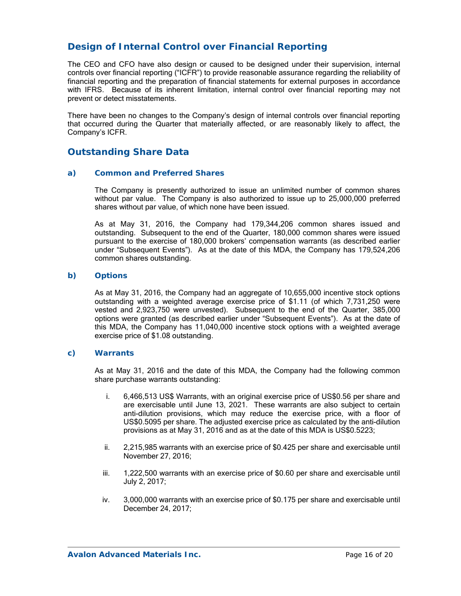# **Design of Internal Control over Financial Reporting**

The CEO and CFO have also design or caused to be designed under their supervision, internal controls over financial reporting ("ICFR") to provide reasonable assurance regarding the reliability of financial reporting and the preparation of financial statements for external purposes in accordance with IFRS. Because of its inherent limitation, internal control over financial reporting may not prevent or detect misstatements.

There have been no changes to the Company's design of internal controls over financial reporting that occurred during the Quarter that materially affected, or are reasonably likely to affect, the Company's ICFR.

## **Outstanding Share Data**

#### *a) Common and Preferred Shares*

The Company is presently authorized to issue an unlimited number of common shares without par value. The Company is also authorized to issue up to 25,000,000 preferred shares without par value, of which none have been issued.

As at May 31, 2016, the Company had 179,344,206 common shares issued and outstanding. Subsequent to the end of the Quarter, 180,000 common shares were issued pursuant to the exercise of 180,000 brokers' compensation warrants (as described earlier under "Subsequent Events"). As at the date of this MDA, the Company has 179,524,206 common shares outstanding.

### *b) Options*

As at May 31, 2016, the Company had an aggregate of 10,655,000 incentive stock options outstanding with a weighted average exercise price of \$1.11 (of which 7,731,250 were vested and 2,923,750 were unvested). Subsequent to the end of the Quarter, 385,000 options were granted (as described earlier under "Subsequent Events"). As at the date of this MDA, the Company has 11,040,000 incentive stock options with a weighted average exercise price of \$1.08 outstanding.

#### *c) Warrants*

As at May 31, 2016 and the date of this MDA, the Company had the following common share purchase warrants outstanding:

- i. 6,466,513 US\$ Warrants, with an original exercise price of US\$0.56 per share and are exercisable until June 13, 2021. These warrants are also subject to certain anti-dilution provisions, which may reduce the exercise price, with a floor of US\$0.5095 per share. The adjusted exercise price as calculated by the anti-dilution provisions as at May 31, 2016 and as at the date of this MDA is US\$0.5223;
- ii. 2,215,985 warrants with an exercise price of \$0.425 per share and exercisable until November 27, 2016;
- iii. 1,222,500 warrants with an exercise price of \$0.60 per share and exercisable until July 2, 2017;
- iv. 3,000,000 warrants with an exercise price of \$0.175 per share and exercisable until December 24, 2017;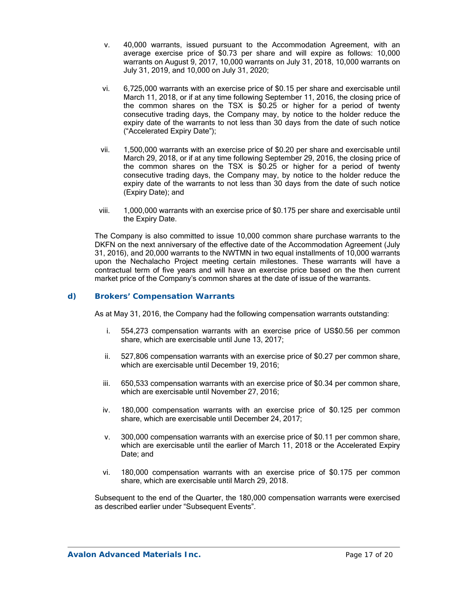- v. 40,000 warrants, issued pursuant to the Accommodation Agreement, with an average exercise price of \$0.73 per share and will expire as follows: 10,000 warrants on August 9, 2017, 10,000 warrants on July 31, 2018, 10,000 warrants on July 31, 2019, and 10,000 on July 31, 2020;
- vi. 6,725,000 warrants with an exercise price of \$0.15 per share and exercisable until March 11, 2018, or if at any time following September 11, 2016, the closing price of the common shares on the TSX is \$0.25 or higher for a period of twenty consecutive trading days, the Company may, by notice to the holder reduce the expiry date of the warrants to not less than 30 days from the date of such notice ("Accelerated Expiry Date");
- vii. 1,500,000 warrants with an exercise price of \$0.20 per share and exercisable until March 29, 2018, or if at any time following September 29, 2016, the closing price of the common shares on the TSX is \$0.25 or higher for a period of twenty consecutive trading days, the Company may, by notice to the holder reduce the expiry date of the warrants to not less than 30 days from the date of such notice (Expiry Date); and
- viii. 1,000,000 warrants with an exercise price of \$0.175 per share and exercisable until the Expiry Date.

The Company is also committed to issue 10,000 common share purchase warrants to the DKFN on the next anniversary of the effective date of the Accommodation Agreement (July 31, 2016), and 20,000 warrants to the NWTMN in two equal installments of 10,000 warrants upon the Nechalacho Project meeting certain milestones. These warrants will have a contractual term of five years and will have an exercise price based on the then current market price of the Company's common shares at the date of issue of the warrants.

### *d) Brokers' Compensation Warrants*

As at May 31, 2016, the Company had the following compensation warrants outstanding:

- i. 554,273 compensation warrants with an exercise price of US\$0.56 per common share, which are exercisable until June 13, 2017;
- ii. 527,806 compensation warrants with an exercise price of \$0.27 per common share, which are exercisable until December 19, 2016;
- iii. 650,533 compensation warrants with an exercise price of \$0.34 per common share, which are exercisable until November 27, 2016;
- iv. 180,000 compensation warrants with an exercise price of \$0.125 per common share, which are exercisable until December 24, 2017;
- v. 300,000 compensation warrants with an exercise price of \$0.11 per common share, which are exercisable until the earlier of March 11, 2018 or the Accelerated Expiry Date; and
- vi. 180,000 compensation warrants with an exercise price of \$0.175 per common share, which are exercisable until March 29, 2018.

Subsequent to the end of the Quarter, the 180,000 compensation warrants were exercised as described earlier under "Subsequent Events".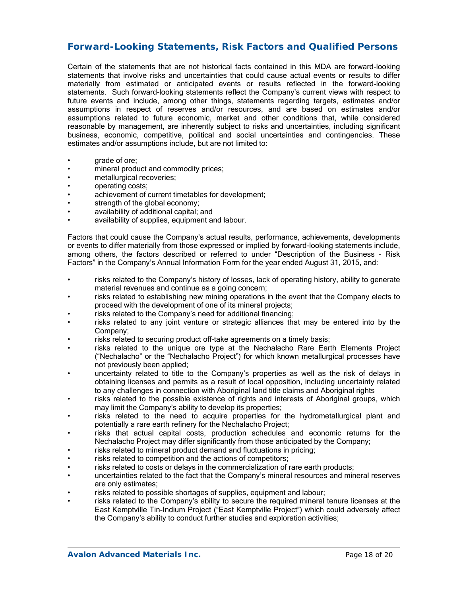## **Forward-Looking Statements, Risk Factors and Qualified Persons**

Certain of the statements that are not historical facts contained in this MDA are forward-looking statements that involve risks and uncertainties that could cause actual events or results to differ materially from estimated or anticipated events or results reflected in the forward-looking statements. Such forward-looking statements reflect the Company's current views with respect to future events and include, among other things, statements regarding targets, estimates and/or assumptions in respect of reserves and/or resources, and are based on estimates and/or assumptions related to future economic, market and other conditions that, while considered reasonable by management, are inherently subject to risks and uncertainties, including significant business, economic, competitive, political and social uncertainties and contingencies. These estimates and/or assumptions include, but are not limited to:

- grade of ore;
- mineral product and commodity prices;
- metallurgical recoveries;
- operating costs;
- achievement of current timetables for development;
- strength of the global economy;
- availability of additional capital; and
- availability of supplies, equipment and labour.

Factors that could cause the Company's actual results, performance, achievements, developments or events to differ materially from those expressed or implied by forward-looking statements include, among others, the factors described or referred to under "Description of the Business - Risk Factors" in the Company's Annual Information Form for the year ended August 31, 2015, and:

- risks related to the Company's history of losses, lack of operating history, ability to generate material revenues and continue as a going concern;
- risks related to establishing new mining operations in the event that the Company elects to proceed with the development of one of its mineral projects;
- risks related to the Company's need for additional financing;
- risks related to any joint venture or strategic alliances that may be entered into by the Company;
- risks related to securing product off-take agreements on a timely basis;
- risks related to the unique ore type at the Nechalacho Rare Earth Elements Project ("Nechalacho" or the "Nechalacho Project") for which known metallurgical processes have not previously been applied;
- uncertainty related to title to the Company's properties as well as the risk of delays in obtaining licenses and permits as a result of local opposition, including uncertainty related to any challenges in connection with Aboriginal land title claims and Aboriginal rights
- risks related to the possible existence of rights and interests of Aboriginal groups, which may limit the Company's ability to develop its properties;
- risks related to the need to acquire properties for the hydrometallurgical plant and potentially a rare earth refinery for the Nechalacho Project;
- risks that actual capital costs, production schedules and economic returns for the Nechalacho Project may differ significantly from those anticipated by the Company;
- risks related to mineral product demand and fluctuations in pricing;
- risks related to competition and the actions of competitors;
- risks related to costs or delays in the commercialization of rare earth products;
- uncertainties related to the fact that the Company's mineral resources and mineral reserves are only estimates;
- risks related to possible shortages of supplies, equipment and labour;
- risks related to the Company's ability to secure the required mineral tenure licenses at the East Kemptville Tin-Indium Project ("East Kemptville Project") which could adversely affect the Company's ability to conduct further studies and exploration activities;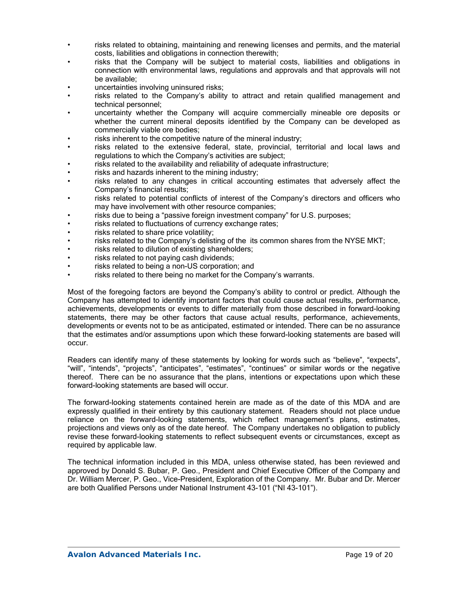- risks related to obtaining, maintaining and renewing licenses and permits, and the material costs, liabilities and obligations in connection therewith;
- risks that the Company will be subject to material costs, liabilities and obligations in connection with environmental laws, regulations and approvals and that approvals will not be available;
- uncertainties involving uninsured risks;
- risks related to the Company's ability to attract and retain qualified management and technical personnel;
- uncertainty whether the Company will acquire commercially mineable ore deposits or whether the current mineral deposits identified by the Company can be developed as commercially viable ore bodies;
- risks inherent to the competitive nature of the mineral industry;
- risks related to the extensive federal, state, provincial, territorial and local laws and regulations to which the Company's activities are subject;
- risks related to the availability and reliability of adequate infrastructure;
- risks and hazards inherent to the mining industry;
- risks related to any changes in critical accounting estimates that adversely affect the Company's financial results;
- risks related to potential conflicts of interest of the Company's directors and officers who may have involvement with other resource companies;
- risks due to being a "passive foreign investment company" for U.S. purposes;
- risks related to fluctuations of currency exchange rates;
- risks related to share price volatility;
- risks related to the Company's delisting of the its common shares from the NYSE MKT;
- risks related to dilution of existing shareholders;
- risks related to not paying cash dividends;
- risks related to being a non-US corporation; and
- risks related to there being no market for the Company's warrants.

Most of the foregoing factors are beyond the Company's ability to control or predict. Although the Company has attempted to identify important factors that could cause actual results, performance, achievements, developments or events to differ materially from those described in forward-looking statements, there may be other factors that cause actual results, performance, achievements, developments or events not to be as anticipated, estimated or intended. There can be no assurance that the estimates and/or assumptions upon which these forward-looking statements are based will occur.

Readers can identify many of these statements by looking for words such as "believe", "expects", "will", "intends", "projects", "anticipates", "estimates", "continues" or similar words or the negative thereof. There can be no assurance that the plans, intentions or expectations upon which these forward-looking statements are based will occur.

The forward-looking statements contained herein are made as of the date of this MDA and are expressly qualified in their entirety by this cautionary statement. Readers should not place undue reliance on the forward-looking statements, which reflect management's plans, estimates, projections and views only as of the date hereof. The Company undertakes no obligation to publicly revise these forward-looking statements to reflect subsequent events or circumstances, except as required by applicable law.

The technical information included in this MDA, unless otherwise stated, has been reviewed and approved by Donald S. Bubar, P. Geo., President and Chief Executive Officer of the Company and Dr. William Mercer, P. Geo., Vice-President, Exploration of the Company. Mr. Bubar and Dr. Mercer are both Qualified Persons under National Instrument 43-101 ("NI 43-101").